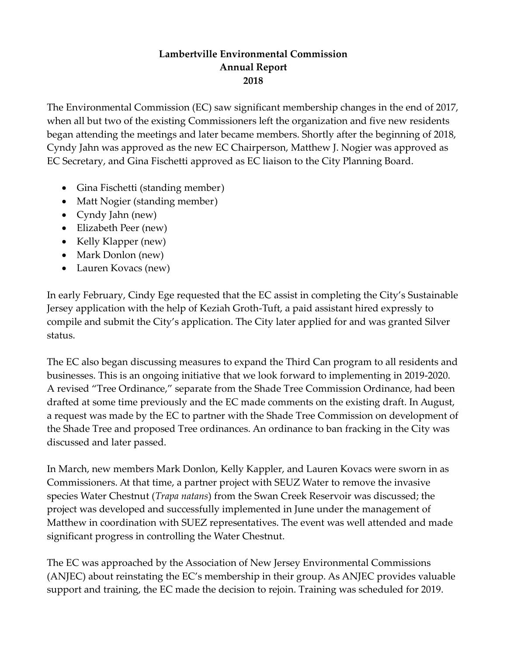## **Lambertville Environmental Commission Annual Report 2018**

The Environmental Commission (EC) saw significant membership changes in the end of 2017, when all but two of the existing Commissioners left the organization and five new residents began attending the meetings and later became members. Shortly after the beginning of 2018, Cyndy Jahn was approved as the new EC Chairperson, Matthew J. Nogier was approved as EC Secretary, and Gina Fischetti approved as EC liaison to the City Planning Board.

- Gina Fischetti (standing member)
- Matt Nogier (standing member)
- Cyndy Jahn (new)
- Elizabeth Peer (new)
- Kelly Klapper (new)
- Mark Donlon (new)
- Lauren Kovacs (new)

In early February, Cindy Ege requested that the EC assist in completing the City's Sustainable Jersey application with the help of Keziah Groth-Tuft, a paid assistant hired expressly to compile and submit the City's application. The City later applied for and was granted Silver status.

The EC also began discussing measures to expand the Third Can program to all residents and businesses. This is an ongoing initiative that we look forward to implementing in 2019-2020. A revised "Tree Ordinance," separate from the Shade Tree Commission Ordinance, had been drafted at some time previously and the EC made comments on the existing draft. In August, a request was made by the EC to partner with the Shade Tree Commission on development of the Shade Tree and proposed Tree ordinances. An ordinance to ban fracking in the City was discussed and later passed.

In March, new members Mark Donlon, Kelly Kappler, and Lauren Kovacs were sworn in as Commissioners. At that time, a partner project with SEUZ Water to remove the invasive species Water Chestnut (*Trapa natans*) from the Swan Creek Reservoir was discussed; the project was developed and successfully implemented in June under the management of Matthew in coordination with SUEZ representatives. The event was well attended and made significant progress in controlling the Water Chestnut.

The EC was approached by the Association of New Jersey Environmental Commissions (ANJEC) about reinstating the EC's membership in their group. As ANJEC provides valuable support and training, the EC made the decision to rejoin. Training was scheduled for 2019.